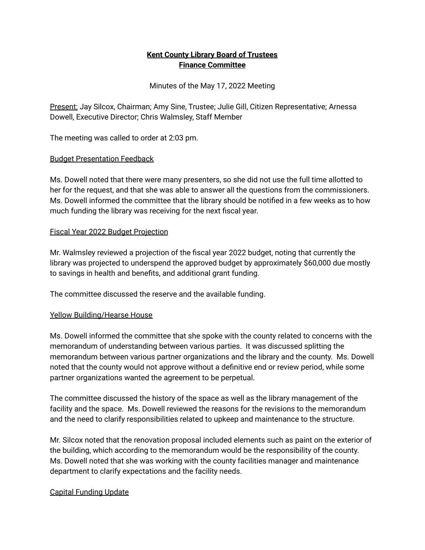# **Kent County Library Board of Trustees Finance Committee**

Minutes of the May 17, 2022 Meeting

Present: Jay Silcox, Chairman; Amy Sine, Trustee; Julie Gill, Citizen Representative; Arnessa Dowell, Executive Director; Chris Walmsley, Staff Member

The meeting was called to order at 2:03 pm.

# Budget Presentation Feedback

Ms. Dowell noted that there were many presenters, so she did not use the full time allotted to her for the request, and that she was able to answer all the questions from the commissioners. Ms. Dowell informed the committee that the library should be notified in a few weeks as to how much funding the library was receiving for the next fiscal year.

### Fiscal Year 2022 Budget Projection

Mr. Walmsley reviewed a projection of the fiscal year 2022 budget, noting that currently the library was projected to underspend the approved budget by approximately \$60,000 due mostly to savings in health and benefits, and additional grant funding.

The committee discussed the reserve and the available funding.

### Yellow Building/Hearse House

Ms. Dowell informed the committee that she spoke with the county related to concerns with the memorandum of understanding between various parties. It was discussed splitting the memorandum between various partner organizations and the library and the county. Ms. Dowell noted that the county would not approve without a definitive end or review period, while some partner organizations wanted the agreement to be perpetual.

The committee discussed the history of the space as well as the library management of the facility and the space. Ms. Dowell reviewed the reasons for the revisions to the memorandum and the need to clarify responsibilities related to upkeep and maintenance to the structure.

Mr. Silcox noted that the renovation proposal included elements such as paint on the exterior of the building, which according to the memorandum would be the responsibility of the county. Ms. Dowell noted that she was working with the county facilities manager and maintenance department to clarify expectations and the facility needs.

### Capital Funding Update